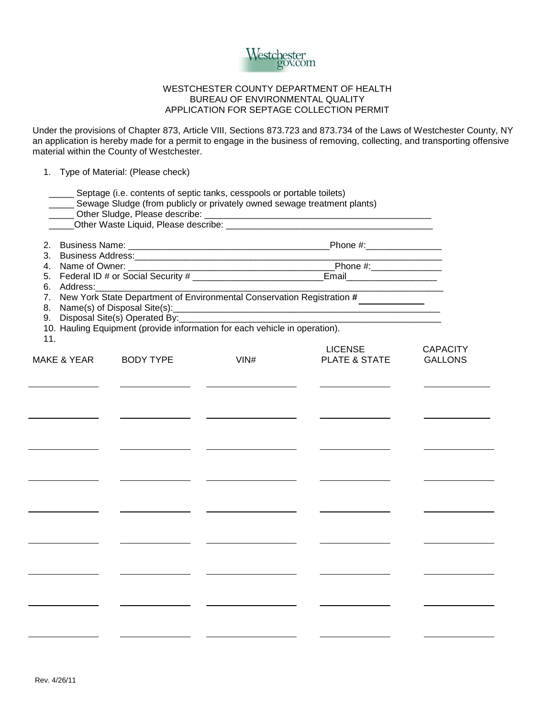

## WESTCHESTER COUNTY DEPARTMENT OF HEALTH BUREAU OF ENVIRONMENTAL QUALITY APPLICATION FOR SEPTAGE COLLECTION PERMIT

Under the provisions of Chapter 873, Article VIII, Sections 873.723 and 873.734 of the Laws of Westchester County, NY an application is hereby made for a permit to engage in the business of removing, collecting, and transporting offensive material within the County of Westchester.

## 1. Type of Material: (Please check)

|           | Septage (i.e. contents of septic tanks, cesspools or portable toilets)<br>Sewage Sludge (from publicly or privately owned sewage treatment plants) |  |                  |                                                                            |                                               |                                 |                 |                |  |
|-----------|----------------------------------------------------------------------------------------------------------------------------------------------------|--|------------------|----------------------------------------------------------------------------|-----------------------------------------------|---------------------------------|-----------------|----------------|--|
|           |                                                                                                                                                    |  |                  |                                                                            |                                               |                                 |                 |                |  |
| 2.        |                                                                                                                                                    |  |                  |                                                                            |                                               | Phone #:_________________       |                 |                |  |
| 3.<br>4.  |                                                                                                                                                    |  |                  |                                                                            | Phone #: $\sqrt{2}$ Phone #:                  |                                 |                 |                |  |
| 5.        |                                                                                                                                                    |  |                  |                                                                            | Email <b>Exercise Service Service Service</b> |                                 |                 |                |  |
| 6.        | Address:                                                                                                                                           |  |                  |                                                                            |                                               |                                 |                 |                |  |
| 7.<br>8.  | New York State Department of Environmental Conservation Registration #<br><u> 1980 - Johann Barnett, fransk konge</u>                              |  |                  |                                                                            |                                               |                                 |                 |                |  |
| 9.<br>11. |                                                                                                                                                    |  |                  | 10. Hauling Equipment (provide information for each vehicle in operation). |                                               |                                 |                 |                |  |
|           | <b>MAKE &amp; YEAR</b>                                                                                                                             |  | <b>BODY TYPE</b> | VIN#                                                                       |                                               | <b>LICENSE</b><br>PLATE & STATE | <b>CAPACITY</b> | <b>GALLONS</b> |  |
|           |                                                                                                                                                    |  |                  |                                                                            |                                               |                                 |                 |                |  |
|           |                                                                                                                                                    |  |                  |                                                                            |                                               |                                 |                 |                |  |
|           |                                                                                                                                                    |  |                  |                                                                            |                                               |                                 |                 |                |  |
|           |                                                                                                                                                    |  |                  |                                                                            |                                               |                                 |                 |                |  |
|           |                                                                                                                                                    |  |                  |                                                                            |                                               |                                 |                 |                |  |
|           |                                                                                                                                                    |  |                  |                                                                            |                                               |                                 |                 |                |  |
|           |                                                                                                                                                    |  |                  |                                                                            |                                               |                                 |                 |                |  |
|           |                                                                                                                                                    |  |                  |                                                                            |                                               |                                 |                 |                |  |
|           |                                                                                                                                                    |  |                  |                                                                            |                                               |                                 |                 |                |  |
|           |                                                                                                                                                    |  |                  |                                                                            |                                               |                                 |                 |                |  |
|           |                                                                                                                                                    |  |                  |                                                                            |                                               |                                 |                 |                |  |
|           |                                                                                                                                                    |  |                  |                                                                            |                                               |                                 |                 |                |  |
|           |                                                                                                                                                    |  |                  |                                                                            |                                               |                                 |                 |                |  |
|           |                                                                                                                                                    |  |                  |                                                                            |                                               |                                 |                 |                |  |
|           |                                                                                                                                                    |  |                  |                                                                            |                                               |                                 |                 |                |  |